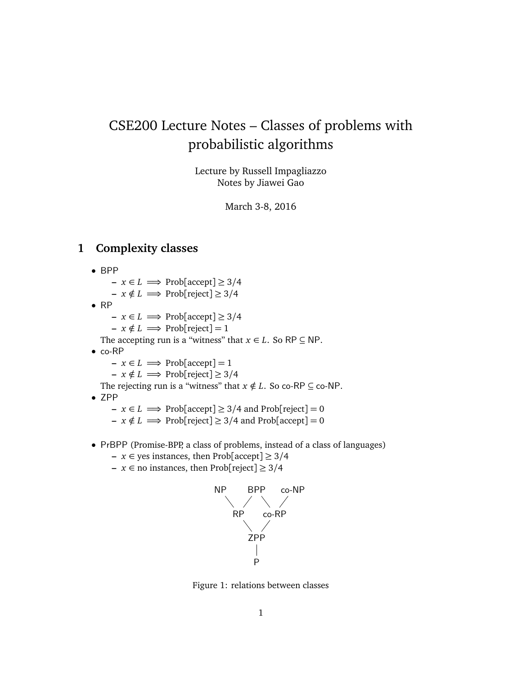# CSE200 Lecture Notes – Classes of problems with probabilistic algorithms

Lecture by Russell Impagliazzo Notes by Jiawei Gao

March 3-8, 2016

## **1 Complexity classes**

- BPP
	- **–** *x* ∈ *L* =⇒ Prob[accept] ≥ 3*/*4
	- $-x \notin L \implies \text{Prob}[\text{reject}] \geq 3/4$
- RP
	- **–** *x* ∈ *L* =⇒ Prob[accept] ≥ 3*/*4
	- $\mathbf{r} \cdot \mathbf{x} \notin L \implies \text{Prob}[\text{reject}] = 1$

The accepting run is a "witness" that  $x \in L$ . So RP  $\subseteq$  NP.

- co-RP
	- $\rightarrow$  *x* ∈ *L*  $\Longrightarrow$  Prob[accept] = 1
	- $-x \notin L \implies \text{Prob}[\text{reject}] \geq 3/4$

The rejecting run is a "witness" that  $x \notin L$ . So co-RP  $\subseteq$  co-NP.

- ZPP
	- **−**  $x \in L$   $\implies$  Prob[accept]  $\geq$  3/4 and Prob[reject] = 0
	- **–**  $x \notin L$   $\implies$  Prob[reject] ≥ 3/4 and Prob[accept] = 0
- PrBPP (Promise-BPP, a class of problems, instead of a class of languages)
	- **–** *x* ∈ yes instances, then Prob[accept] ≥ 3*/*4
	- **–** *x* ∈ no instances, then Prob[reject] ≥ 3*/*4



Figure 1: relations between classes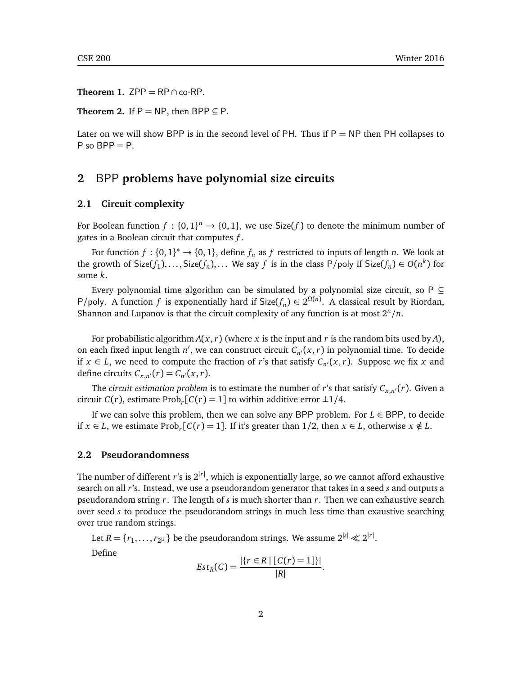**Theorem 1.** ZPP =  $RP \cap co-RP$ .

**Theorem 2.** If  $P = NP$ , then BPP  $\subseteq P$ .

Later on we will show BPP is in the second level of PH. Thus if  $P = NP$  then PH collapses to  $P$  so  $BPP = P$ .

## **2** BPP **problems have polynomial size circuits**

#### **2.1 Circuit complexity**

For Boolean function  $f: \{0,1\}^n \to \{0,1\}$ , we use Size(f) to denote the minimum number of gates in a Boolean circuit that computes *f* .

For function  $f: \{0,1\}^* \to \{0,1\}$ , define  $f_n$  as  $f$  restricted to inputs of length *n*. We look at the growth of  $Size(f_1), \ldots, Size(f_n), \ldots$  We say  $f$  is in the class  $P/poly$  if  $Size(f_n) \in O(n^k)$  for some *k*.

Every polynomial time algorithm can be simulated by a polynomial size circuit, so  $P \subseteq$ *P*/poly. A function *f* is exponentially hard if  $Size(f_n) \in 2^{\Omega(n)}$ . A classical result by Riordan, Shannon and Lupanov is that the circuit complexity of any function is at most  $2^n/n$ .

For probabilistic algorithm  $A(x, r)$  (where x is the input and r is the random bits used by A), on each fixed input length  $n'$ , we can construct circuit  $C_{n'}(x,r)$  in polynomial time. To decide if *x* ∈ *L*, we need to compute the fraction of *r*'s that satisfy  $C_{n}(x, r)$ . Suppose we fix *x* and define circuits  $C_{x,n'}(r) = C_{n'}(x,r)$ .

The *circuit estimation problem* is to estimate the number of *r*'s that satisfy  $C_{x,n'}(r)$ . Given a circuit *C*(*r*), estimate Prob<sub>*r*</sub>[*C*(*r*) = 1] to within additive error  $\pm$ 1/4.

If we can solve this problem, then we can solve any BPP problem. For  $L \in BPP$ , to decide if *x* ∈ *L*, we estimate Prob<sub>*r*</sub></sub>[*C*(*r*) = 1]. If it's greater than 1/2, then *x* ∈ *L*, otherwise *x* ∉ *L*.

#### **2.2 Pseudorandomness**

The number of different *r*'s is 2|*r*<sup>|</sup> , which is exponentially large, so we cannot afford exhaustive search on all *r*'s. Instead, we use a pseudorandom generator that takes in a seed *s* and outputs a pseudorandom string *r*. The length of *s* is much shorter than *r*. Then we can exhaustive search over seed *s* to produce the pseudorandom strings in much less time than exaustive searching over true random strings.

Let  $R = \{r_1, \ldots, r_{2^{|\mathcal{S}|}}\}$  be the pseudorandom strings. We assume  $2^{|\mathcal{S}|} \ll 2^{|\mathcal{r}|}$ .

Define

$$
Est_R(C) = \frac{|\{r \in R \mid [C(r) = 1]\}|}{|R|}.
$$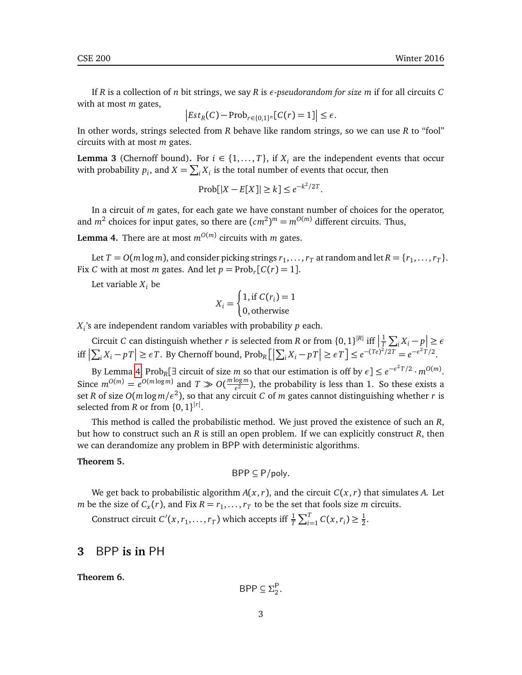If *R* is a collection of *n* bit strings, we say *R* is *ε-pseudorandom for size m* if for all circuits *C* with at most *m* gates,

$$
\left| Est_R(C) - \mathrm{Prob}_{r \in \{0,1\}^n}[C(r) = 1] \right| \le \epsilon.
$$

In other words, strings selected from *R* behave like random strings, so we can use *R* to "fool" circuits with at most *m* gates.

**Lemma 3** (Chernoff bound). For  $i \in \{1, ..., T\}$ , if  $X_i$  are the independent events that occur with probability  $p_i$ , and  $X = \sum_i X_i$  is the total number of events that occur, then

$$
Prob[|X - E[X]| \ge k] \le e^{-k^2/2T}.
$$

In a circuit of *m* gates, for each gate we have constant number of choices for the operator, and  $m^2$  choices for input gates, so there are  $(cm^2)^m = m^{O(m)}$  different circuits. Thus,

<span id="page-2-0"></span>**Lemma 4.** There are at most  $m^{O(m)}$  circuits with *m* gates.

Let  $T = O(m \log m)$ , and consider picking strings  $r_1, \ldots, r_T$  at random and let  $R = \{r_1, \ldots, r_T\}$ . Fix *C* with at most *m* gates. And let  $p = \text{Prob}_r[C(r) = 1].$ 

Let variable  $X_i$  be

$$
X_i = \begin{cases} 1, \text{if } C(r_i) = 1\\ 0, \text{otherwise} \end{cases}
$$

*Xi* 's are independent random variables with probability *p* each.

Circuit *C* can distinguish whether *r* is selected from *R* or from  $\{0, 1\}^{|R|}$  iff  $\left|\frac{1}{T}\right|$  $\frac{1}{T} \sum_i X_i - p \leq \epsilon$ iff  $\left|\sum_i X_i - p\right| \ge \epsilon T$ . By Chernoff bound,  $\text{Prob}_R\left[\left|\sum_i X_i - p\right|\right] \ge \epsilon T\right] \le e^{-(Te)^2/2T} = e^{-\epsilon^2 T/2}$ .

By Lemma [4,](#page-2-0) Prob<sub>R</sub>[ $\exists$  circuit of size *m* so that our estimation is off by  $\epsilon$ ]  $\leq e^{-\epsilon^2 T/2} \cdot m^{O(m)}$ . Since  $m^{O(m)} = e^{O(m \log m)}$  and  $T \gg O(\frac{m \log m}{\epsilon^2})$  $\frac{\log m}{\epsilon^2}$ ), the probability is less than 1. So these exists a set *R* of size *O*(*m* log *m/ε*<sup>2</sup> ), so that any circuit *C* of *m* gates cannot distinguishing whether *r* is selected from *R* or from  $\{0, 1\}^{|r|}$ .

This method is called the probabilistic method. We just proved the existence of such an *R*, but how to construct such an *R* is still an open problem. If we can explicitly construct *R*, then we can derandomize any problem in BPP with deterministic algorithms.

#### <span id="page-2-1"></span>**Theorem 5.**

$$
\mathsf{BPP} \subseteq \mathsf{P/poly}.
$$

We get back to probabilistic algorithm  $A(x, r)$ , and the circuit  $C(x, r)$  that simulates A. Let *m* be the size of  $C_x(r)$ , and Fix  $R = r_1, \ldots, r_T$  to be the set that fools size *m* circuits.

Construct circuit  $C'(x, r_1, \ldots, r_T)$  which accepts iff  $\frac{1}{T} \sum_{i=1}^{T} C(x, r_i) \geq \frac{1}{2}$  $\frac{1}{2}$ .

#### **3** BPP **is in** PH

**Theorem 6.**

$$
\mathsf{BPP} \subseteq \Sigma_2^{\mathsf{P}}.
$$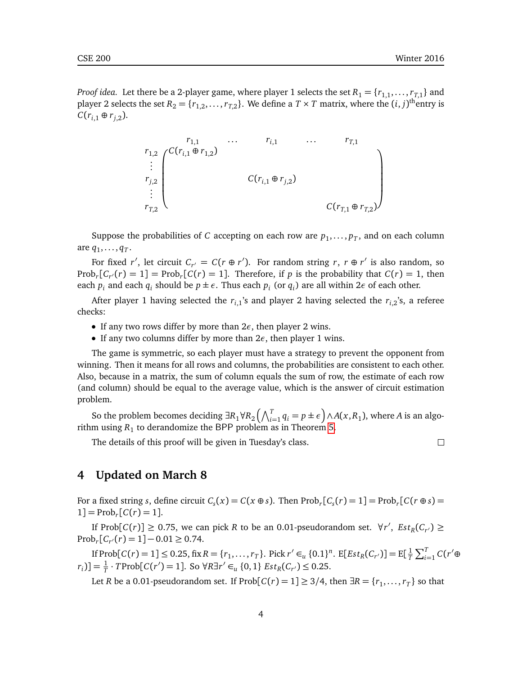*Proof idea.* Let there be a 2-player game, where player 1 selects the set  $R_1 = \{r_{1,1}, \ldots, r_{T,1}\}$  and player 2 selects the set  $R_2 = \{r_{1,2}, \ldots, r_{T,2}\}$ . We define a  $T \times T$  matrix, where the  $(i, j)$ <sup>th</sup>entry is  $C(r_{i,1} ⊕ r_{i,2}).$ 

> $r_{1,1}$  ...  $r_{i,1}$  ...  $r_{T,1}$  $\sqrt{ }$  $\overline{\phantom{a}}$ λ  $\begin{array}{c} \hline \end{array}$ *r*<sub>1,2</sub>  $\angle$  *C*(*r*<sub>*i*,1</sub> ⊕ *r*<sub>1,2</sub>) . . .  $r_{j,2}$  *C*( $r_{i,1} \oplus r_{j,2}$ ) . . .  $C(r_{T,1} \oplus r_{T,2})$

Suppose the probabilities of *C* accepting on each row are  $p_1, \ldots, p_T$ , and on each column are  $q_1, \ldots, q_T$ .

For fixed *r'*, let circuit  $C_{r'} = C(r \oplus r')$ . For random string *r*,  $r \oplus r'$  is also random, so Prob<sub>*r*</sub> $[C_{r}(r) = 1]$  = Prob<sub>*r*</sub> $[C(r) = 1]$ . Therefore, if *p* is the probability that  $C(r) = 1$ , then each  $p_i$  and each  $q_i$  should be  $p \pm \epsilon$ . Thus each  $p_i$  (or  $q_i$ ) are all within  $2\epsilon$  of each other.

After player 1 having selected the  $r_{i,1}$ 's and player 2 having selected the  $r_{i,2}$ 's, a referee checks:

- If any two rows differ by more than 2*ε*, then player 2 wins.
- If any two columns differ by more than  $2\epsilon$ , then player 1 wins.

The game is symmetric, so each player must have a strategy to prevent the opponent from winning. Then it means for all rows and columns, the probabilities are consistent to each other. Also, because in a matrix, the sum of column equals the sum of row, the estimate of each row (and column) should be equal to the average value, which is the answer of circuit estimation problem.

So the problem becomes deciding  $\exists R_1 \forall R_2 \left( \bigwedge_{i=1}^T q_i = p \pm \epsilon \right) \wedge A(x, R_1)$ , where *A* is an algorithm using  $R_1$  to derandomize the BPP problem as in Theorem [5.](#page-2-1)

The details of this proof will be given in Tuesday's class.

 $\Box$ 

# **4 Updated on March 8**

For a fixed string *s*, define circuit  $C_s(x) = C(x \oplus s)$ . Then  $\text{Prob}_r[C_s(r) = 1] = \text{Prob}_r[C(r \oplus s) =$  $1]$  = Prob<sub>*r*</sub> [ $C(r)$  = 1].

If Prob $[C(r)] \ge 0.75$ , we can pick *R* to be an 0.01-pseudorandom set.  $\forall r'$ ,  $Est_R(C_{r'}) \ge$  $Prob<sub>r</sub>[C<sub>r'</sub>(r) = 1] - 0.01 \ge 0.74.$ 

If Prob[ $C(r) = 1$ ]  $\leq 0.25$ , fix  $R = \{r_1, \ldots, r_T\}$ . Pick  $r' \in_{\alpha} \{0.1\}^n$ . E[ $Est_R(C_{r'})$ ]  $=$  E[ $\frac{1}{T}$  $\frac{1}{T} \sum_{i=1}^{T} C(r' \oplus$  $(r_i)$ ] =  $\frac{1}{T}$  · *T*Prob[*C*(*r'*) = 1]. So  $\forall R \exists r' \in_u \{0, 1\}$  *Est*<sub>*R*</sub>(*C<sub>r'</sub>*) ≤ 0.25.

Let *R* be a 0.01-pseudorandom set. If  $\text{Prob}[C(r) = 1] \geq 3/4$ , then  $\exists R = \{r_1, \ldots, r_T\}$  so that